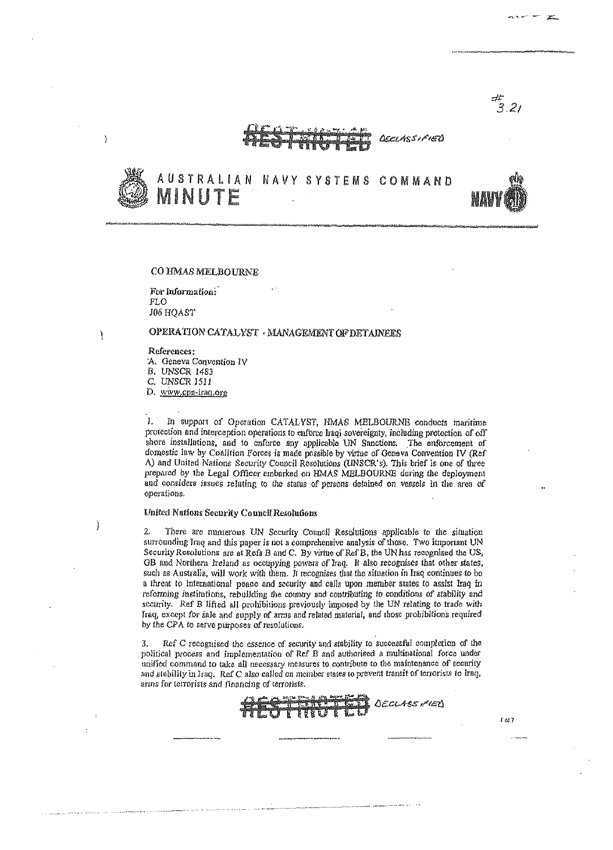#<br>3.21

**DEELASSIFIED** 



AUSTRALIAN NAVY SYSTEMS COMMAND MINUTE



 $1<sub>01</sub>$ 

### CO HMAS MELBOURNE

For information: FLO J06 HOAST

### J.

J

۱,

## OPERATION CATALYST · MANAGEMENT OF DETAINEES

References:

'A. Geneva Convention IV

B. UNSCR 1483

C. UNSCR 1511

D. www.cpa-iraq.org

 $\mathbf{I}$ In support of Operation CATALYST, HMAS MELBOURNE conducts maritime protection and interception operations to enforce Iraqi sovereignty, including protection of off shore installations, and to enforce any applicable UN Sanctions. The enforcement of domestic law by Coalition Forces is made possible by virme of Geneva Convention IV (Ref A) and United Nations Security Council Resolutions (UNSCR's). This brief is one of three prepared by the Legal Officer embarked on HMAS MELBOURNE during the deployment and considers issues relating to the status of persons detained on vessels in the area of operations.

### United Nations Security Council Resolutions

 $\mathcal{L}$ There are numerous UN Security Council Resolutions applicable to the situation surrounding Iraq and this paper is not a comprehensive analysis of those. Two important UN Security Resolutions are at Refs B and C. By virtue of Ref B, the UN has recognised the US, GB and Northern Ireland as occupying powers of Iraq. It also recognises that other states, such as Australia, will work with them. It recognises that the situation in Iraq continues to be a threat to international peace and security and calls upon member states to assist Iraq in reforming institutions, rebuilding the country and contributing to conditions of stability and security. Ref B lifted all prohibitions previously imposed by the UN relating to trade with Iraq, except for sale and supply of arms and related material, and those prohibitions required by the CPA to serve purposes of resolutions.

Ref C recognised the essence of security and stability to successful completion of the -3. political process and implementation of Ref B and authorised a multinational force under unified command to take all necessary measures to contribute to the maintenance of security and stability in Iraq. Ref C also called on member states to prevent transit of terrorists to Iraq, arms for terrorists and financing of terrorists.

DECLASS MED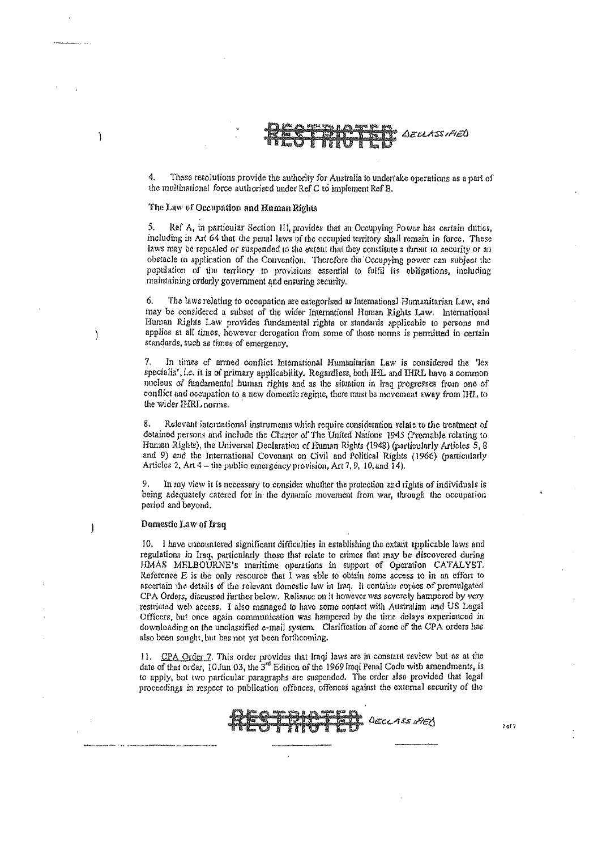# **BEUASSIAED**

These resolutions provide the authority for Australia to undertake operations as a part of the multinational force authorised under Ref C to implement Ref B.

### The Law of Occupation and Human Rights

ľ

 $\mathcal{E}$ 

J,

Ref A, in particular Section 111, provides that an Occupying Power has certain duties, including in Art 64 that the penal laws of the occupied territory shall remain in force. These laws may be repealed or suspended to the extent that they constitute a threat to security or an obstacle to application of the Convention. Therefore the Occupying power can subject the population of the territory to provisions essential to fulfil its obligations, including maintaining orderly government and ensuring security.

6. The laws relating to occupation are categorised as International Humanitarian Law, and may be considered a subset of the wider International Human Rights Law. International Human Rights Law provides fundamental rights or standards applicable to persons and applies at all times, however derogation from some of those norms is permitted in certain standards, such as times of emergency.

7. In times of armed conflict International Humanitarian Law is considered the 'lex specialis', i.e. it is of primary applicability. Regardless, both IHL and IHRL bave a common mucleus of fundamental human rights and as the situation in Iraq progresses from one of conflict and occupation to a new domestic regime, there must be movement away from IHL, to the wider IHRL norms.

8. Relevant international instruments which require consideration relate to the treatment of detained persons and include the Charter of The United Nations 1945 (Premable relating to Human Rights), the Universal Declaration of Human Rights (1948) (particularly Articles 5, 8 and 9) and the International Covenant on Civil and Political Rights (1966) (particularly Articles 2, Art 4 - the public emergency provision, Art 7, 9, 10, and 14).

In my view it is necessary to consider whether the protection and rights of individuals is being adequately catered for in the dynamic movement from war, through the occupation period and beyond.

### Domestic Law of Iraq

10. I have encountered significant difficulties in establishing the extant applicable laws and regulations in Iraq, particularly those that relate to crimes that may be discovered during HMAS MELBOURNE's maritime operations in support of Operation CATALYST. Reference E is the only resource that I was able to obtain some access to in an effort to ascertain the details of the relevant domestic law in Iraq. It contains copies of promulgated CPA Orders, discussed further below. Rollance on it however was severely hampered by very restricted web access. I also managed to have some contact with Australian and US Legal Officers, but once again communication was hampered by the time delays experienced in downloading on the unclassified e-mail system. Clarification of some of the CPA orders has also been sought, but has not yet been forthcoming.

11. CPA Order 7. This order provides that Iraqi laws are in constant review but as at the date of that order, 10 Jun 03, the 3<sup>rd</sup> Edition of the 1969 Iraqi Penal Code with amendments, is to apply, but two particular paragraphs are suspended. The order also provided that legal proceedings in respect to publication offences, offences against the external security of the



 $2 of 7$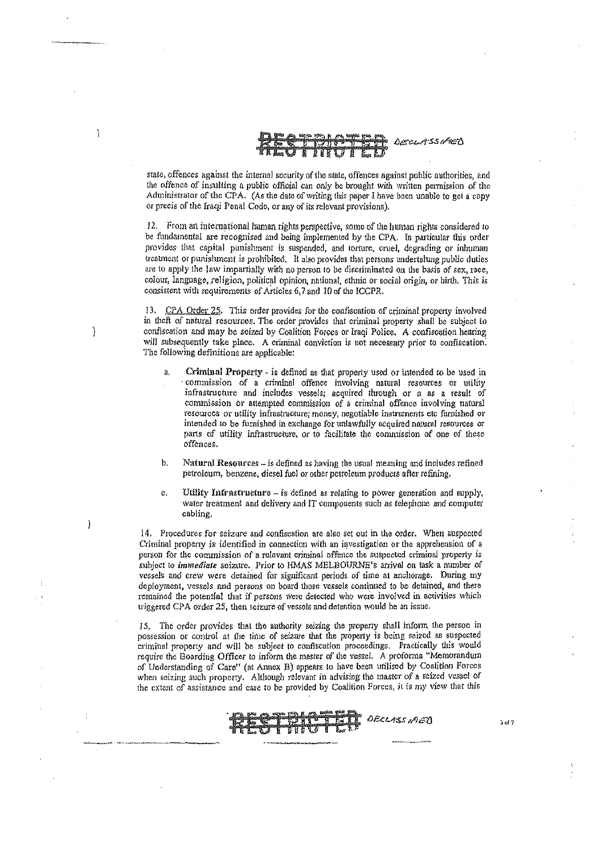

stare, offences against the internul security of the stnte, offences against publie authorities, and the offence of insulting a public official can only be brought with written permission of the Administrator of the CPA. (As the date of writing this paper I have been unable to get a copy or precis of the Iraqi Penal Code, or any of its relevant provisions).

12. From an iutemational human rights perspective, some of the human rights considered to be fundamental are recognised and being implemented by the CPA. In particular this order provides that capital punishment is suspended, and torture, cruel, degrading or inhuman treatment or punishment is prohibited. It also provides that persons undertalung public duties are to apply the law impartially with no person to be discriminated on the basis of sex, race, colour, language,religion, political opinion, nalional, ethnic Or social origin, or birth. This *is*  consistent with requirements of Articles 6,7 and 10 of the ICCPR.

13. CPA Order 25. This order provides for the confiscation of criminal property involved in theft of natural resources. The order provides that criminal property shall be subject to confiscation and may be seized by Coalition Forces or Iraqi Police. A confiscation hearing will subsequently take place. A criminal conviction is not necessary prior to confiscation. The following definitions are applicable:

)

<sup>1</sup>

ì

- a. Criminal Property is defined as that property used or intended to be used in commission of a criminal offence involving natural resources or utility infrastructure and includes vessels; acquired through or a as a result of commission or attempted commission of a criminal offence involving natural resources or utility infrastructure; money, negotiable instruments ctc furnished or intended to be furnished in exchange for unlawfully acquired natural resources or parts of utility infrastructure, or to facilitate the commission of one of these offences.
- **b.** Natural Resources is defined as having the usual meaning and includes refined petroleum, benzene, diesel fuel or other petroleum products after refining.
- c. Utility Infrastructure  $-$  is defined as relating to power generation and supply, water treatment and delivery and IT components such as telephone and computer cabling.

14. Procedures for seizure and confiscation are also set out in the order. When suspected Criminal property is identified in connection with an investigation or the apprehension of a person for the commission of a relevant criminal offence the suspected criminal property is subject 10 *immediale* seizure. Prior 10 llMAS MELBOURNE's arrival On task a number of vessels and crew were detained for significant periods of time at anchorage. During my deployment, vessels and persons on board those vessels continued to be detained, and there **remained the potential that if persons Were detected who were involved in. activities which**  triggered CPA order 25, then seizure of vessels and detention would be an issue.

15. The order provides that the authority seizing the property shall inform the person in possession or control at the time of seizure that the property is being seized as suspected criminal property and will be subject to confiscation proceedings. Practically this would require the Boarding Officer to inform the master of the vessel. A proforma "Memorandum of Understanding of Care" (at Annex B) appears to have been utilised by Coalition Forces when seizing such property. Although relevant in advising the master of a seized vessel of the extent of assistance and care to be provided by Coalition Forces, it is my view that this



**J nf?**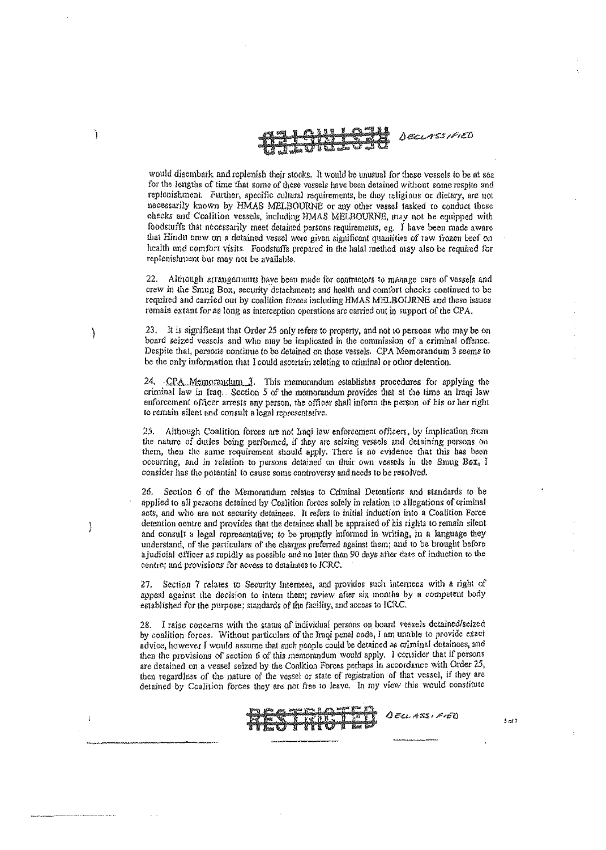

would disembark and replenish their stocks. It would be unusual for these vessels to be at sea for the lengths of time that some of these vessels have been detained without some respite and replenishment. Further, specific cultural requirements, be they religious or dietary, are not necessarily known by HMAS MELBOURNE or any other vessel tasked to conduct these checks and Coalition vessels, including HMAS MELBOURNE, may not be equipped with foodstuffs that necessarily meet detained persons requirements, eg. I have been made aware that Hindu crew on a detained vessel were given significant quantities of raw frozen beef on health and comfort visits. Foodstuffs prepared in the halal method may also be required for replenishment but may not be available.

 $22.$ Although arrangements have been made for contractors to manage care of vessels and crew in the Smug Box, security detachments and health and comfort checks continued to be required and carried out by coalition forces including HMAS MELBOURNE and these issues remain extant for as long as interception operations are carried out in support of the CPA.

23. It is significant that Order 25 only refers to property, and not to persons who may be on board seized vessels and who may be implicated in the commission of a criminal offence. Despite that, persons continue to be detained on those vessels. CPA Memorandum 3 seems to be the only information that I could ascertain relating to criminal or other detention.

24. CPA Memorandum 3. This memorandum establishes procedures for applying the criminal law in Iraq. Section 5 of the memorandum provides that at the time an Iraqi law enforcement officer arrests any person, the officer shall inform the person of his or her right to remain silent and consult a legal representative.

25. Although Coalition forces are not Iraqi law enforcement officers, by implication from the nature of duties being performed, if they are seizing vessels and detaining persons on them, then the same requirement should apply. There is no evidence that this has been occurring, and in relation to persons detained on their own vessels in the Smug Box, I consider has the potential to cause some controversy and needs to be resolved.

26. Section 6 of the Memorandum relates to Criminal Detentions and standards to be applied to all persons detained by Coalition forces sofely in relation to allegations of criminal acts, and who are not security detainees. It refers to initial induction into a Coalition Force detention centre and provides that the detainee shall be appraised of his rights to remain silent and consult a legal representative; to be promptly informed in writing, in a language they understand, of the particulars of the charges preferred against them; and to be brought before a judicial officer as rapidly as possible and no later than 90 days after date of induction to the centre; and provisions for access to detainees to ICRC.

Section 7 relates to Security Internees, and provides such internees with a right of 27. appeal against the decision to intern them; review after six months by a competent body established for the purpose; standards of the facility, and access to ICRC.

28. I raise concerns with the status of individual persons on board vessels detained/seized by coalition forces. Without particulars of the Iraqi penal code, I am unable to provide exact advice, however I would assume that such people could be detained as criminal detainees, and then the provisions of section 6 of this memorandum would apply. I consider that if persons are detained on a vessel seized by the Coalition Forces perhaps in accordance with Order 25, then regardless of the nature of the vessel or state of registration of that vessel, if they are detained by Coalition forces they are not free to leave. In my view this would constitute



 $Q$ ELLASSIFIED

ľ

<sup>)</sup>

 $5017$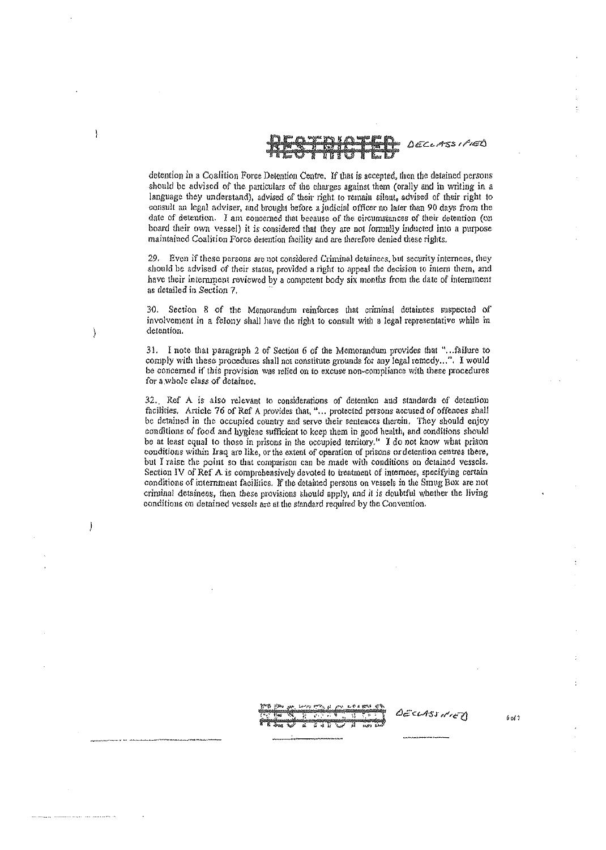

detention in a Coalition Force Dotention Centre. If that is accepted, then the detained persons should be advised of the particulars of the charges against them (orally and in writing in a language they understand), advised of their right to remain silent, advised of their right to consult an legal adviser, and brought before a judicial officer no later than 90 days from the date of detention. I am concerned that because of the circumstances of their detention (on board their own vessel) it is considered that they are not formally inducted into a purpose maintained Coalition Force detention facility and are therefore denied these rights.

J,

 $\overline{\phantom{a}}$ 

 $\mathcal{Y}$ 

29. Even if these persons are not considered Criminal detainees, but security internees, they should be advised of their status, provided a right to appeal the decision to intern them, and have their internment reviewed by a competent body six months from the date of internment as detailed in Section 7.

30. Section 8 of the Memorandum reinforces that criminal detainees suspected of involvement in a folony shall have the right to consult with a legal representative while in detention.

31. I note that paragraph 2 of Section 6 of the Memorandum provides that "...failure to comply with these procedures shall not constitute grounds for any legal remedy...". I would be concerned if this provision was relied on to excuse non-compliance with these procedures for a whole class of detaince.

32. Ref A is also relevant to considerations of detention and standards of detention facilities. Article 76 of Ref A provides that, "... protected persons accused of offences shall be detained in the occupied country and serve their sentences therein. They should enjoy conditions of food and hygiene sufficient to keep them in good health, and conditions should be at least equal to those in prisons in the occupied territory." I do not know what prison conditions within Iraq are like, or the extent of operation of prisons or detention centres there, but I raise the point so that comparison can be made with conditions on detained vessels. Section IV of Ref. A is comprehensively devoted to treatment of internees, specifying certain conditions of internment facilities. If the detained persons on vessels in the Smug Box are not criminal detainees, then these provisions should apply, and it is doubtful whether the living conditions on detained vessels are at the standard required by the Convention.

DECLASS HIER

 $6013$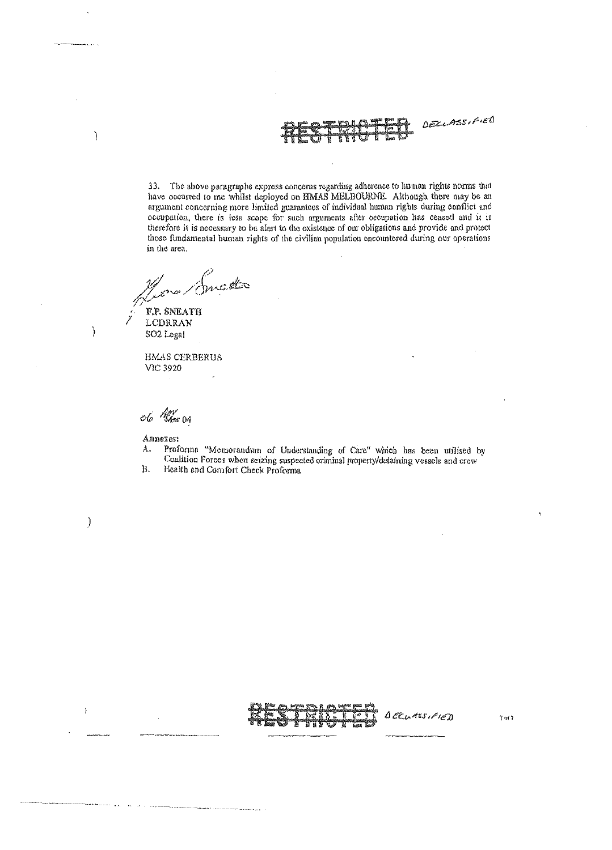DECLASSIFIED

33. The above paragraphs express concerns regarding adherence to human rights norms that have occurred to me whilst deployed on HMAS MELBOURNE. Although there may be an argument concerning more limited guarantees of individual human rights during conflict and occupation, there is less scope for such arguments after occupation has ceased and it is therefore it is necessary to be alert to the existence of our obligations and provide and protect those fundamental human rights of the civilian population encountered during our operations in the area.

nic.office F.P. SNEATH

LCDRRAN SO2 Legal

Ÿ

 $\mathcal{E}$ 

 $\mathcal{Y}$ 

ł

 $\mathcal{E}$ 

HMAS CERBERUS **VIC 3920** 

06 Km 04

Annexes:

- Proforma "Memorandum of Understanding of Care" which has been utilised by  $\lambda$ . Coalition Forces when seizing suspected criminal property/detaining vessels and crew
- Ъ. Health and Comfort Check Proforma

and a company



 $0$ EELASSIFIED

 $7<sub>0</sub>12$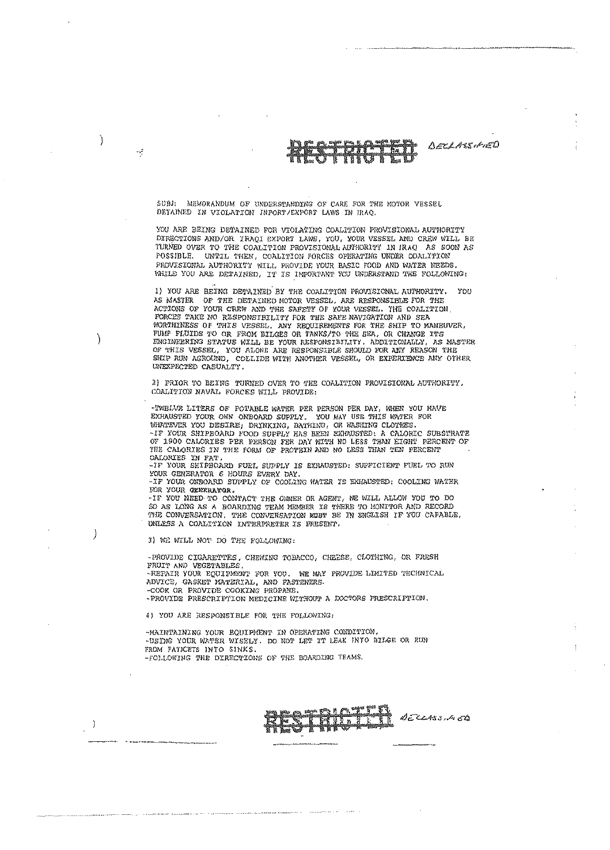DECLASSIFIED

 $SUBI:$ MEMORANDUM OF UNDERSTANDING OF CARE FOR THE MOTOR VESSEL DETAINED IN VIOLATION INPORT/EXPORT LAWS IN IRAQ.

YOU ARE BEING DETAINED FOR VIOLATING COALITION PROVISIONAL AUTHORITY DIRECTIONS AND/OR IRAQI EXPORT LAWS, YOU, YOUR VESSEL AND CREW WILL BE TURNED OVER TO THE COALITION PROVISIONAL AUTHORITY IN IRAO AS SOON AS POSSIBLE. UNTIL THEN, COALITION FORCES OPERATING UNDER COALITION PROVISIONAL AUTHORITY WILL PROVIDE YOUR RASIC FOOD AND WATER NEEDS. WHILE YOU ARE DETAINED, IT IS IMPORTANT YOU UNDERSTAND THE FOLLOWING:

1) YOU ARE BEING DETAINED BY THE COALITION PROVISIONAL AUTHORITY.  $Y00$ AS MASTER OF THE DETAINED MOTOR VESSEL, ARE RESPONSIBLE FOR THE ACTIONS OF YOUR CREW AND THE SAFETY OF YOUR VESSEL. THE COALITION. FORCES TAKE NO RZSPONSIBILITY FOR THE SAFE NAVIGATION AND SEA WORTHINESS OF THIS VESSEL. ANY REQUIREMENTS FOR THE SHIP TO MANEUVER, FUMP FLUIDS TO OR FROM BILGES OR TANKS/TO THE SEA, OR CHANGE ITS ENGINEERING STATUS WILL BE YOUR RESPONSIBILITY. ADDITIONALLY, AS MASTER OF THIS VESSEL, YOU ALONE ARE RESPONSIBLE SHOULD FOR ANY REASON THE SHIP RUN AGROUND, COLLIDE WITH ANOTHER VESSEL, OR EXPERIENCE ANY OTHER UNEXPECTED CASUALTY.

2) PRIOR TO BEING TURNED OVER TO THE COALITION PROVISIONAL AUTHORITY, COALITION NAVAL FORCES WILL PROVIDE:

-TWELVE LITERS OF POTABLE WATER PER PERSON PER DAY, WHEN YOU HAVE EXHAUSTED YOUR OWN ONBOARD SUPPLY. YOU MAY USE THIS WATER FOR WHATEVER YOU DESIRE; DRINKING, BATHING, OR WASHING CLOPHES. -IF YOUR SHIPBOARD FOOD SUPPLY HAS BEEN EXHAUSTED: A CALORIC SUBSTRATE OF 1900 CALORIES PER PERSON FER DAY WITH NO LESS THAN EIGHT PERCENT OF THE CALORIES IN THE FORM OF PROTEIN AND NO LESS THAN TEN PERCENT

CALORIES IN FAT.<br>-IF YOUR SHIPBOARD FUEL SUPPLY IS EXRAUSTED: SUPFICIENT FUEL TO RUN<br>-IF YOUR SHIPBOARD FUEL SUPPLY IS EXRAUSTED: SUPFICIENT FUEL TO RUN FOUR CENERATOR 6 HOURS EVERY DAY. THE SERVAL PRODUCT CENERATOR 6 HOURS EVERY DAY.

FOR YOUR GENTRATOR.

-IF YOU NEED TO CONTACT THE OWNER OR AGENT, WE WILL ALLOW YOU TO DO SO AS LONG AS A BOARDING TEAM MEMBER IS THERE TO MONITOR AND RECORD THE CONVERSATION. THE CONVERSATION MUST BE IN ENGLISH IF YOU CAPABLE, UNLESS A COALITION INTERPRETER IS PRESENT.

3) WE WILL NOT DO THE FOLLOWING:

Ì

J

 $\cdot$ 

 $\rightarrow$ 

 $\cdot$  .

-PROVIDE CIGARETTES, CHEWING TOBACCO, CHEESE, CLOTHING, OR FRESH FRUIT AND VEGETABLES -REPAIR YOUR EQUIPMENT FOR YOU. WE MAY PROVIDE LIMITED TECHNICAL ADVICE, GASKET KATERIAL, AND FASTENERS-COOK OR FROVIDE COOKING PROPANE. -PROVIDE PRESCRIPTION MEDICINE WITHOUT A DOCTORS PRESCRIPTION.

4) YOU ARE RESPONSIBLE FOR THE FOLLOWING:

-MAINTAINING YOUR EQUIPMENT IN OPERATING CONDITION. -USING YOUR WATER WISELY. DO NOT LET IT LEAK INTO BILGE OR RUN FROM FATICETS INTO SINKS. -FOLLOWING THE DIRECTIONS OF THE BOARDING TEAMS.

**THE DECLASSIA ED**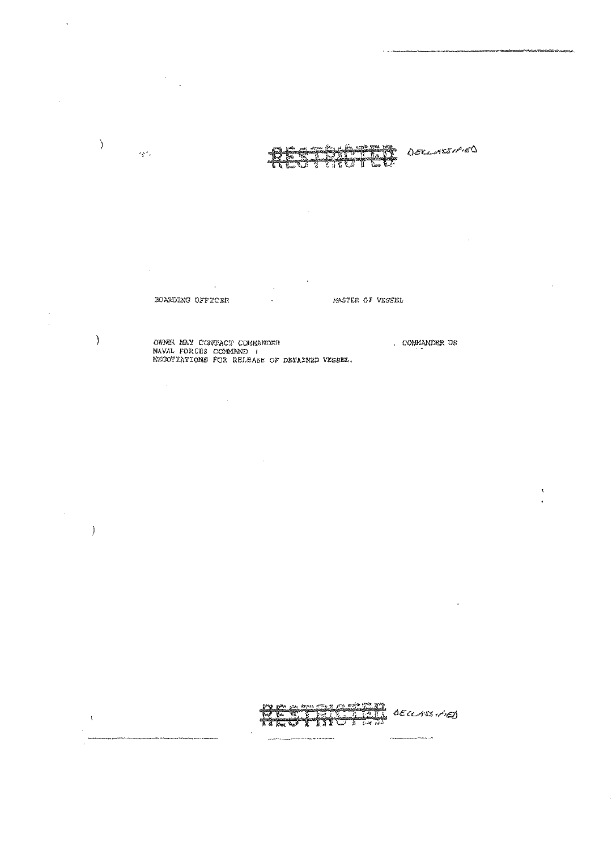$\overline{a}$  $\ddot{\phantom{0}}$  $\mathcal{L}^{\mathcal{L}}$ 

DECLARESHED

 $\tilde{\boldsymbol{\xi}}$ 

 $\overline{\phantom{a}}$ 

l,

 $\lambda$ 

 $\big)$ 

 $\big)$ 

 $\bar{1}$ 

 $\delta\chi\ell_{\rm s}$ 

 $\hat{\mathcal{A}}$ 

 $\bar{\mathcal{A}}$ 

KASTER OF VESSEL BOARDING OFFICER  $\ddot{\phantom{a}}$ 

OWNER MAY CONTACT COMMANDER<br>NAVAL FORCES COMMAND (<br>NEGOTIATIONS FOR RELBASE OF DETAINED VESEEL. COMMANDER US

Santa CECLIS (AE) 1 TJT

.<br>Saapannan kuning tiiti saa taas 19 min nä kuningas s

 $\label{eq:3} \mathbf{p}^{(k)}\mathbf{q}^{(k)}\mathbf{p}^{(k)}\mathbf{q}^{(k)}\mathbf{p}^{(k)}\mathbf{p}^{(k)}\mathbf{p}^{(k)}\mathbf{p}^{(k)}\mathbf{p}^{(k)}\mathbf{p}^{(k)}\mathbf{p}^{(k)}\mathbf{p}^{(k)}\mathbf{p}^{(k)}\mathbf{p}^{(k)}\mathbf{p}^{(k)}\mathbf{p}^{(k)}\mathbf{p}^{(k)}\mathbf{p}^{(k)}\mathbf{p}^{(k)}\mathbf{p}^{(k)}\mathbf{p}^{(k)}\mathbf$